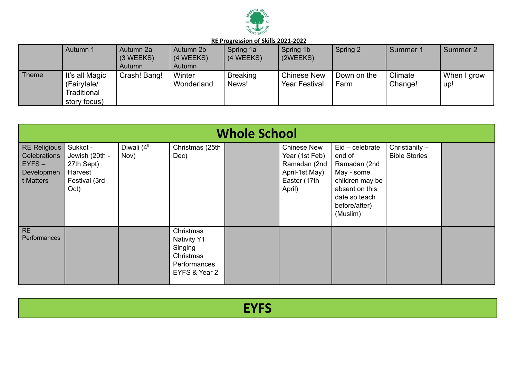

|              | Autumn 1                                                     | Autumn 2a<br>$(3 \, \text{WEEKS})$<br>Autumn | Autumn 2b<br>(4 WEEKS)<br>Autumn | Spring 1a<br>(4 WEEKS)   | Spring 1b<br>(2WEEKS)               | Spring 2            | Summer 1           | Summer 2           |
|--------------|--------------------------------------------------------------|----------------------------------------------|----------------------------------|--------------------------|-------------------------------------|---------------------|--------------------|--------------------|
| <b>Theme</b> | It's all Magic<br>(Fairytale/<br>Traditional<br>story focus) | Crash! Bang!                                 | Winter<br>Wonderland             | <b>Breaking</b><br>News! | Chinese New<br><b>Year Festival</b> | Down on the<br>Farm | Climate<br>Change! | When I grow<br>up! |

|                                                                            | <b>Whole School</b>                                                          |                                 |                                                                                          |  |                                                                                                  |                                                                                                                                              |                                          |  |  |  |  |  |  |
|----------------------------------------------------------------------------|------------------------------------------------------------------------------|---------------------------------|------------------------------------------------------------------------------------------|--|--------------------------------------------------------------------------------------------------|----------------------------------------------------------------------------------------------------------------------------------------------|------------------------------------------|--|--|--|--|--|--|
| <b>RE Religious</b><br>Celebrations<br>$EYFS -$<br>Developmen<br>t Matters | Sukkot -<br>Jewish (20th -<br>27th Sept)<br>Harvest<br>Festival (3rd<br>Oct) | Diwali (4 <sup>th</sup><br>Nov) | Christmas (25th<br>Dec)                                                                  |  | <b>Chinese New</b><br>Year (1st Feb)<br>Ramadan (2nd<br>April-1st May)<br>Easter (17th<br>April) | $Eid - celebrate$<br>end of<br>Ramadan (2nd<br>May - some<br>children may be<br>absent on this<br>date so teach<br>before/after)<br>(Muslim) | Christianity $-$<br><b>Bible Stories</b> |  |  |  |  |  |  |
| <b>RE</b><br>Performances                                                  |                                                                              |                                 | Christmas<br><b>Nativity Y1</b><br>Singing<br>Christmas<br>Performances<br>EYFS & Year 2 |  |                                                                                                  |                                                                                                                                              |                                          |  |  |  |  |  |  |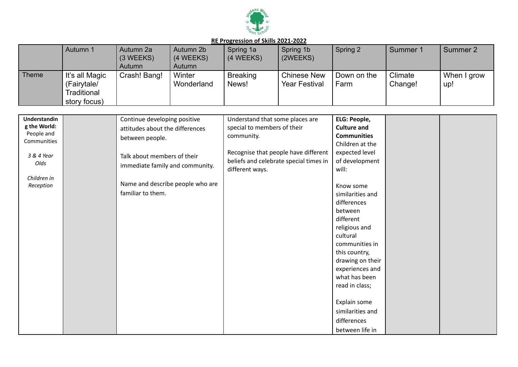

|              | Autumn 1                                                     | Autumn 2a<br>(3 WEEKS)<br>Autumn | Autumn 2b<br>(4 WEEKS)<br>Autumn | Spring 1a<br>(4 WEEKS)   | Spring 1b<br>(2WEEKS)                      | Spring 2            | Summer 1           | Summer 2           |
|--------------|--------------------------------------------------------------|----------------------------------|----------------------------------|--------------------------|--------------------------------------------|---------------------|--------------------|--------------------|
| <b>Theme</b> | It's all Magic<br>(Fairytale/<br>Traditional<br>story focus) | Crash! Bang!                     | Winter<br>Wonderland             | <b>Breaking</b><br>News! | <b>Chinese New</b><br><b>Year Festival</b> | Down on the<br>Farm | Climate<br>Change! | When I grow<br>up! |

| Understandin | Continue developing positive     | Understand that some places are        | ELG: People,       |  |
|--------------|----------------------------------|----------------------------------------|--------------------|--|
| g the World: | attitudes about the differences  | special to members of their            | <b>Culture and</b> |  |
| People and   | between people.                  | community.                             | <b>Communities</b> |  |
| Communities  |                                  |                                        | Children at the    |  |
| 3 & 4 Year   | Talk about members of their      | Recognise that people have different   | expected level     |  |
| Olds         |                                  | beliefs and celebrate special times in | of development     |  |
|              | immediate family and community.  | different ways.                        | will:              |  |
| Children in  |                                  |                                        |                    |  |
| Reception    | Name and describe people who are |                                        | Know some          |  |
|              | familiar to them.                |                                        | similarities and   |  |
|              |                                  |                                        | differences        |  |
|              |                                  |                                        | between            |  |
|              |                                  |                                        | different          |  |
|              |                                  |                                        | religious and      |  |
|              |                                  |                                        | cultural           |  |
|              |                                  |                                        | communities in     |  |
|              |                                  |                                        | this country,      |  |
|              |                                  |                                        | drawing on their   |  |
|              |                                  |                                        | experiences and    |  |
|              |                                  |                                        | what has been      |  |
|              |                                  |                                        | read in class;     |  |
|              |                                  |                                        |                    |  |
|              |                                  |                                        | Explain some       |  |
|              |                                  |                                        | similarities and   |  |
|              |                                  |                                        | differences        |  |
|              |                                  |                                        | between life in    |  |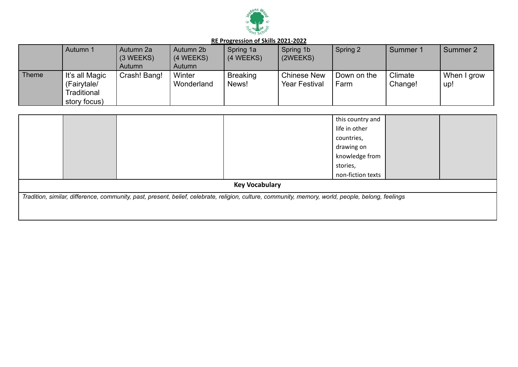

|              | Autumn 1                                                     | Autumn 2a<br>$(3 \, \text{WEEKS})$<br>Autumn | Autumn 2b<br>(4 WEEKS)<br>Autumn | Spring 1a<br>(4 WEEKS)   | Spring 1b<br>(2WEEKS)                      | Spring 2            | Summer 1           | Summer 2           |
|--------------|--------------------------------------------------------------|----------------------------------------------|----------------------------------|--------------------------|--------------------------------------------|---------------------|--------------------|--------------------|
| <b>Theme</b> | It's all Magic<br>(Fairytale/<br>Traditional<br>story focus) | Crash! Bang!                                 | Winter<br>Wonderland             | <b>Breaking</b><br>News! | <b>Chinese New</b><br><b>Year Festival</b> | Down on the<br>Farm | Climate<br>Change! | When I grow<br>up! |

|  |                                                                                                                                                    | this country and  |  |
|--|----------------------------------------------------------------------------------------------------------------------------------------------------|-------------------|--|
|  |                                                                                                                                                    | life in other     |  |
|  |                                                                                                                                                    | countries,        |  |
|  |                                                                                                                                                    | drawing on        |  |
|  |                                                                                                                                                    | knowledge from    |  |
|  |                                                                                                                                                    | stories,          |  |
|  |                                                                                                                                                    | non-fiction texts |  |
|  | <b>Key Vocabulary</b>                                                                                                                              |                   |  |
|  | Tradition, similar, difference, community, past, present, belief, celebrate, religion, culture, community, memory, world, people, belong, feelings |                   |  |
|  |                                                                                                                                                    |                   |  |
|  |                                                                                                                                                    |                   |  |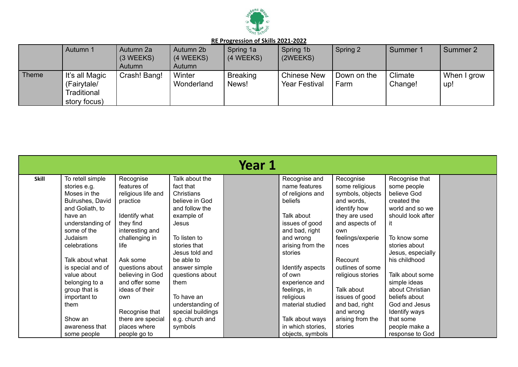

|              | Autumn 1                                                     | Autumn 2a<br>$(3 \, \text{WEEKS})$<br>Autumn | Autumn 2b<br>(4 WEEKS)<br>Autumn | Spring 1a<br>(4 WEEKS)   | Spring 1b<br>(2WEEKS)                      | Spring 2            | Summer 1           | Summer 2           |
|--------------|--------------------------------------------------------------|----------------------------------------------|----------------------------------|--------------------------|--------------------------------------------|---------------------|--------------------|--------------------|
| <b>Theme</b> | It's all Magic<br>(Fairytale/<br>Traditional<br>story focus) | Crash! Bang!                                 | Winter<br>Wonderland             | <b>Breaking</b><br>News! | <b>Chinese New</b><br><b>Year Festival</b> | Down on the<br>Farm | Climate<br>Change! | When I grow<br>up! |

|       |                   |                    |                   | Year 1 |                   |                   |                   |  |
|-------|-------------------|--------------------|-------------------|--------|-------------------|-------------------|-------------------|--|
| Skill | To retell simple  | Recognise          | Talk about the    |        | Recognise and     | Recognise         | Recognise that    |  |
|       | stories e.g.      | features of        | fact that         |        | name features     | some religious    | some people       |  |
|       | Moses in the      | religious life and | Christians        |        | of religions and  | symbols, objects  | believe God       |  |
|       | Bulrushes, David  | practice           | believe in God    |        | beliefs           | and words.        | created the       |  |
|       | and Goliath, to   |                    | and follow the    |        |                   | identify how      | world and so we   |  |
|       | have an           | Identify what      | example of        |        | Talk about        | they are used     | should look after |  |
|       | understanding of  | they find          | Jesus             |        | issues of good    | and aspects of    | it                |  |
|       | some of the       | interesting and    |                   |        | and bad, right    | own               |                   |  |
|       | Judaism           | challenging in     | To listen to      |        | and wrong         | feelings/experie  | To know some      |  |
|       | celebrations      | life               | stories that      |        | arising from the  | nces              | stories about     |  |
|       |                   |                    | Jesus told and    |        | stories           |                   | Jesus, especially |  |
|       | Talk about what   | Ask some           | be able to        |        |                   | Recount           | his childhood     |  |
|       | is special and of | questions about    | answer simple     |        | Identify aspects  | outlines of some  |                   |  |
|       | value about       | believing in God   | questions about   |        | of own            | religious stories | Talk about some   |  |
|       | belonging to a    | and offer some     | them              |        | experience and    |                   | simple ideas      |  |
|       | group that is     | ideas of their     |                   |        | feelings, in      | Talk about        | about Christian   |  |
|       | important to      | own                | To have an        |        | religious         | issues of good    | beliefs about     |  |
|       | them              |                    | understanding of  |        | material studied  | and bad, right    | God and Jesus     |  |
|       |                   | Recognise that     | special buildings |        |                   | and wrong         | Identify ways     |  |
|       | Show an           | there are special  | e.g. church and   |        | Talk about ways   | arising from the  | that some         |  |
|       | awareness that    | places where       | symbols           |        | in which stories, | stories           | people make a     |  |
|       | some people       | people go to       |                   |        | objects, symbols  |                   | response to God   |  |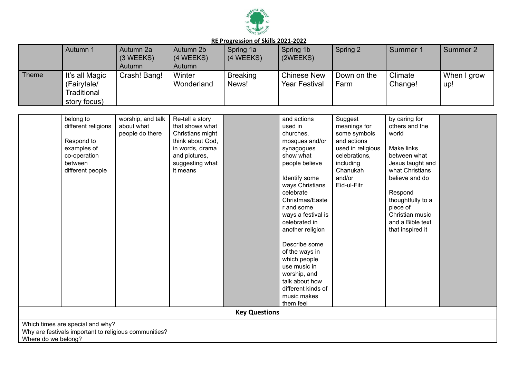

|              | Autumn 1                                                     | Autumn 2a<br>$(3 \, \text{WEEKS})$<br>Autumn | Autumn 2b<br>(4 WEEKS)<br>Autumn | Spring 1a<br>(4 WEEKS)   | Spring 1b<br>(2WEEKS)                      | Spring 2            | Summer 1           | Summer 2           |
|--------------|--------------------------------------------------------------|----------------------------------------------|----------------------------------|--------------------------|--------------------------------------------|---------------------|--------------------|--------------------|
| <b>Theme</b> | It's all Magic<br>(Fairytale/<br>Traditional<br>story focus) | Crash! Bang!                                 | Winter<br>Wonderland             | <b>Breaking</b><br>News! | <b>Chinese New</b><br><b>Year Festival</b> | Down on the<br>Farm | Climate<br>Change! | When I grow<br>up! |

| belong to                                             | worship, and talk | Re-tell a story  |                      | and actions        | Suggest           | by caring for     |  |
|-------------------------------------------------------|-------------------|------------------|----------------------|--------------------|-------------------|-------------------|--|
| different religions                                   | about what        | that shows what  |                      | used in            | meanings for      | others and the    |  |
|                                                       | people do there   | Christians might |                      | churches,          | some symbols      | world             |  |
| Respond to                                            |                   | think about God, |                      | mosques and/or     | and actions       |                   |  |
| examples of                                           |                   | in words, drama  |                      | synagogues         | used in religious | Make links        |  |
| co-operation                                          |                   | and pictures,    |                      | show what          | celebrations,     | between what      |  |
| between                                               |                   | suggesting what  |                      | people believe     | including         | Jesus taught and  |  |
| different people                                      |                   | it means         |                      |                    | Chanukah          | what Christians   |  |
|                                                       |                   |                  |                      | Identify some      | and/or            | believe and do    |  |
|                                                       |                   |                  |                      | ways Christians    | Eid-ul-Fitr       |                   |  |
|                                                       |                   |                  |                      | celebrate          |                   | Respond           |  |
|                                                       |                   |                  |                      | Christmas/Easte    |                   | thoughtfully to a |  |
|                                                       |                   |                  |                      | r and some         |                   | piece of          |  |
|                                                       |                   |                  |                      | ways a festival is |                   | Christian music   |  |
|                                                       |                   |                  |                      | celebrated in      |                   | and a Bible text  |  |
|                                                       |                   |                  |                      | another religion   |                   | that inspired it  |  |
|                                                       |                   |                  |                      |                    |                   |                   |  |
|                                                       |                   |                  |                      | Describe some      |                   |                   |  |
|                                                       |                   |                  |                      | of the ways in     |                   |                   |  |
|                                                       |                   |                  |                      | which people       |                   |                   |  |
|                                                       |                   |                  |                      | use music in       |                   |                   |  |
|                                                       |                   |                  |                      | worship, and       |                   |                   |  |
|                                                       |                   |                  |                      | talk about how     |                   |                   |  |
|                                                       |                   |                  |                      | different kinds of |                   |                   |  |
|                                                       |                   |                  |                      | music makes        |                   |                   |  |
|                                                       |                   |                  |                      | them feel          |                   |                   |  |
|                                                       |                   |                  | <b>Key Questions</b> |                    |                   |                   |  |
| Which times are special and why?                      |                   |                  |                      |                    |                   |                   |  |
| Why are festivals important to religious communities? |                   |                  |                      |                    |                   |                   |  |
| Where do we belong?                                   |                   |                  |                      |                    |                   |                   |  |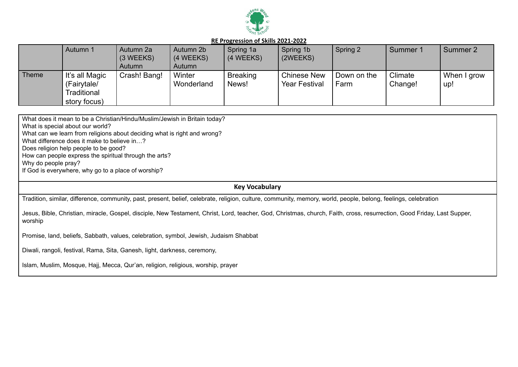

|       | Autumn 1                                                     | Autumn 2a<br>$(3 \, \text{WEEKS})$<br>Autumn | Autumn 2b<br>(4 WEEKS)<br>Autumn | Spring 1a<br>(4 WEEKS)   | Spring 1b<br>(2WEEKS)                      | Spring 2            | Summer 1           | Summer 2           |
|-------|--------------------------------------------------------------|----------------------------------------------|----------------------------------|--------------------------|--------------------------------------------|---------------------|--------------------|--------------------|
| Theme | It's all Magic<br>(Fairytale/<br>Traditional<br>story focus) | Crash! Bang!                                 | Winter<br>Wonderland             | <b>Breaking</b><br>News! | <b>Chinese New</b><br><b>Year Festival</b> | Down on the<br>Farm | Climate<br>Change! | When I grow<br>up! |

What does it mean to be a Christian/Hindu/Muslim/Jewish in Britain today?

What is special about our world?

What can we learn from religions about deciding what is right and wrong?

What difference does it make to believe in...?

Does religion help people to be good?

How can people express the spiritual through the arts?

Why do people pray?

If God is everywhere, why go to a place of worship?

## **Key Vocabulary**

Tradition, similar, difference, community, past, present, belief, celebrate, religion, culture, community, memory, world, people, belong, feelings, celebration

Jesus, Bible, Christian, miracle, Gospel, disciple, New Testament, Christ, Lord, teacher, God, Christmas, church, Faith, cross, resurrection, Good Friday, Last Supper, worship

Promise, land, beliefs, Sabbath, values, celebration, symbol, Jewish, Judaism Shabbat

Diwali, rangoli, festival, Rama, Sita, Ganesh, light, darkness, ceremony,

Islam, Muslim, Mosque, Hajj, Mecca, Qur'an, religion, religious, worship, prayer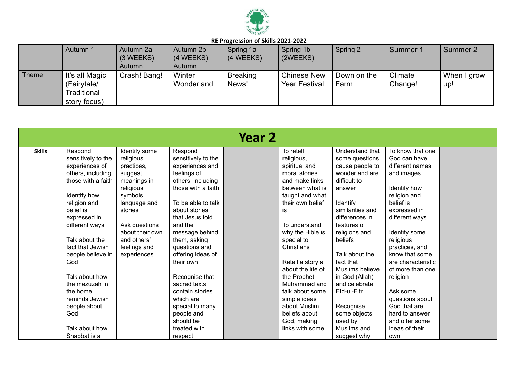

|              | Autumn 1                                                     | Autumn 2a<br>$(3 \, \text{WEEKS})$<br>Autumn | Autumn 2b<br>(4 WEEKS)<br>Autumn | Spring 1a<br>$(4 \, \text{WEEKS})$ | Spring 1b<br>(2WEEKS)                      | Spring 2            | Summer 1           | Summer 2           |
|--------------|--------------------------------------------------------------|----------------------------------------------|----------------------------------|------------------------------------|--------------------------------------------|---------------------|--------------------|--------------------|
| <b>Theme</b> | It's all Magic<br>(Fairytale/<br>Traditional<br>story focus) | Crash! Bang!                                 | Winter<br>Wonderland             | <b>Breaking</b><br>News!           | <b>Chinese New</b><br><b>Year Festival</b> | Down on the<br>Farm | Climate<br>Change! | When I grow<br>up! |

|               |                    |                 |                    | Year 2 |                   |                  |                    |  |
|---------------|--------------------|-----------------|--------------------|--------|-------------------|------------------|--------------------|--|
| <b>Skills</b> | Respond            | Identify some   | Respond            |        | To retell         | Understand that  | To know that one   |  |
|               | sensitively to the | religious       | sensitively to the |        | religious,        | some questions   | God can have       |  |
|               | experiences of     | practices,      | experiences and    |        | spiritual and     | cause people to  | different names    |  |
|               | others, including  | suggest         | feelings of        |        | moral stories     | wonder and are   | and images         |  |
|               | those with a faith | meanings in     | others, including  |        | and make links    | difficult to     |                    |  |
|               |                    | religious       | those with a faith |        | between what is   | answer           | Identify how       |  |
|               | Identify how       | symbols,        |                    |        | taught and what   |                  | religion and       |  |
|               | religion and       | language and    | To be able to talk |        | their own belief  | Identify         | belief is          |  |
|               | belief is          | stories         | about stories      |        | <b>is</b>         | similarities and | expressed in       |  |
|               | expressed in       |                 | that Jesus told    |        |                   | differences in   | different ways     |  |
|               | different ways     | Ask questions   | and the            |        | To understand     | features of      |                    |  |
|               |                    | about their own | message behind     |        | why the Bible is  | religions and    | Identify some      |  |
|               | Talk about the     | and others'     | them, asking       |        | special to        | beliefs          | religious          |  |
|               | fact that Jewish   | feelings and    | questions and      |        | Christians        |                  | practices, and     |  |
|               | people believe in  | experiences     | offering ideas of  |        |                   | Talk about the   | know that some     |  |
|               | God                |                 | their own          |        | Retell a story a  | fact that        | are characteristic |  |
|               |                    |                 |                    |        | about the life of | Muslims believe  | of more than one   |  |
|               | Talk about how     |                 | Recognise that     |        | the Prophet       | in God (Allah)   | religion           |  |
|               | the mezuzah in     |                 | sacred texts       |        | Muhammad and      | and celebrate    |                    |  |
|               | the home           |                 | contain stories    |        | talk about some   | Eid-ul-Fitr      | Ask some           |  |
|               | reminds Jewish     |                 | which are          |        | simple ideas      |                  | questions about    |  |
|               | people about       |                 | special to many    |        | about Muslim      | Recognise        | God that are       |  |
|               | God                |                 | people and         |        | beliefs about     | some objects     | hard to answer     |  |
|               |                    |                 | should be          |        | God, making       | used by          | and offer some     |  |
|               | Talk about how     |                 | treated with       |        | links with some   | Muslims and      | ideas of their     |  |
|               | Shabbat is a       |                 | respect            |        |                   | suggest why      | own                |  |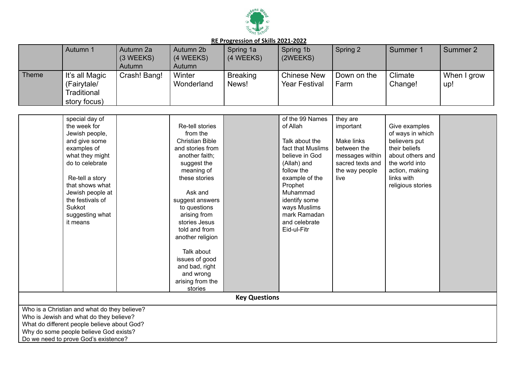

|              | Autumn 1                                                     | Autumn 2a<br>$(3 \, \text{WEEKS})$<br>Autumn | Autumn 2b<br>(4 WEEKS)<br>Autumn | Spring 1a<br>(4 WEEKS)   | Spring 1b<br>(2WEEKS)               | Spring 2            | Summer 1           | Summer 2           |
|--------------|--------------------------------------------------------------|----------------------------------------------|----------------------------------|--------------------------|-------------------------------------|---------------------|--------------------|--------------------|
| <b>Theme</b> | It's all Magic<br>(Fairytale/<br>Traditional<br>story focus) | Crash! Bang!                                 | Winter<br>Wonderland             | <b>Breaking</b><br>News! | Chinese New<br><b>Year Festival</b> | Down on the<br>Farm | Climate<br>Change! | When I grow<br>up! |

| special day of                               |                               |  | of the 99 Names   | they are         |                   |  |  |  |  |  |  |
|----------------------------------------------|-------------------------------|--|-------------------|------------------|-------------------|--|--|--|--|--|--|
| the week for                                 | Re-tell stories               |  | of Allah          | important        | Give examples     |  |  |  |  |  |  |
| Jewish people,                               | from the                      |  |                   |                  | of ways in which  |  |  |  |  |  |  |
| and give some                                | <b>Christian Bible</b>        |  | Talk about the    | Make links       | believers put     |  |  |  |  |  |  |
| examples of                                  | and stories from              |  | fact that Muslims | between the      | their beliefs     |  |  |  |  |  |  |
| what they might                              | another faith;                |  | believe in God    | messages within  | about others and  |  |  |  |  |  |  |
| do to celebrate                              | suggest the                   |  | (Allah) and       | sacred texts and | the world into    |  |  |  |  |  |  |
|                                              | meaning of                    |  | follow the        | the way people   | action, making    |  |  |  |  |  |  |
| Re-tell a story                              | these stories                 |  | example of the    | live             | links with        |  |  |  |  |  |  |
| that shows what                              |                               |  | Prophet           |                  | religious stories |  |  |  |  |  |  |
| Jewish people at                             | Ask and                       |  | Muhammad          |                  |                   |  |  |  |  |  |  |
| the festivals of                             | suggest answers               |  | identify some     |                  |                   |  |  |  |  |  |  |
| Sukkot                                       | to questions                  |  | ways Muslims      |                  |                   |  |  |  |  |  |  |
| suggesting what                              | arising from                  |  | mark Ramadan      |                  |                   |  |  |  |  |  |  |
| it means                                     | stories Jesus                 |  | and celebrate     |                  |                   |  |  |  |  |  |  |
|                                              | told and from                 |  | Eid-ul-Fitr       |                  |                   |  |  |  |  |  |  |
|                                              | another religion              |  |                   |                  |                   |  |  |  |  |  |  |
|                                              |                               |  |                   |                  |                   |  |  |  |  |  |  |
|                                              | Talk about                    |  |                   |                  |                   |  |  |  |  |  |  |
|                                              | issues of good                |  |                   |                  |                   |  |  |  |  |  |  |
|                                              | and bad, right                |  |                   |                  |                   |  |  |  |  |  |  |
|                                              | and wrong<br>arising from the |  |                   |                  |                   |  |  |  |  |  |  |
|                                              | stories                       |  |                   |                  |                   |  |  |  |  |  |  |
|                                              |                               |  |                   |                  |                   |  |  |  |  |  |  |
| <b>Key Questions</b>                         |                               |  |                   |                  |                   |  |  |  |  |  |  |
| Who is a Christian and what do they believe? |                               |  |                   |                  |                   |  |  |  |  |  |  |
| Who is Jewish and what do they believe?      |                               |  |                   |                  |                   |  |  |  |  |  |  |
| What do different people believe about God?  |                               |  |                   |                  |                   |  |  |  |  |  |  |
| Why do some people believe God exists?       |                               |  |                   |                  |                   |  |  |  |  |  |  |
| Do we need to prove God's existence?         |                               |  |                   |                  |                   |  |  |  |  |  |  |